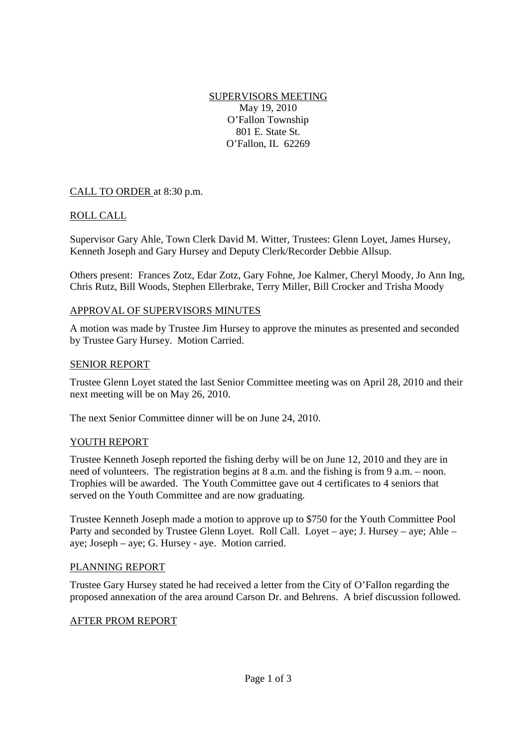SUPERVISORS MEETING May 19, 2010 O'Fallon Township 801 E. State St. O'Fallon, IL 62269

# CALL TO ORDER at 8:30 p.m.

# ROLL CALL

Supervisor Gary Ahle, Town Clerk David M. Witter, Trustees: Glenn Loyet, James Hursey, Kenneth Joseph and Gary Hursey and Deputy Clerk/Recorder Debbie Allsup.

Others present: Frances Zotz, Edar Zotz, Gary Fohne, Joe Kalmer, Cheryl Moody, Jo Ann Ing, Chris Rutz, Bill Woods, Stephen Ellerbrake, Terry Miller, Bill Crocker and Trisha Moody

### APPROVAL OF SUPERVISORS MINUTES

A motion was made by Trustee Jim Hursey to approve the minutes as presented and seconded by Trustee Gary Hursey. Motion Carried.

### SENIOR REPORT

Trustee Glenn Loyet stated the last Senior Committee meeting was on April 28, 2010 and their next meeting will be on May 26, 2010.

The next Senior Committee dinner will be on June 24, 2010.

### YOUTH REPORT

Trustee Kenneth Joseph reported the fishing derby will be on June 12, 2010 and they are in need of volunteers. The registration begins at 8 a.m. and the fishing is from 9 a.m. – noon. Trophies will be awarded. The Youth Committee gave out 4 certificates to 4 seniors that served on the Youth Committee and are now graduating.

Trustee Kenneth Joseph made a motion to approve up to \$750 for the Youth Committee Pool Party and seconded by Trustee Glenn Loyet. Roll Call. Loyet – aye; J. Hursey – aye; Ahle – aye; Joseph – aye; G. Hursey - aye. Motion carried.

### PLANNING REPORT

Trustee Gary Hursey stated he had received a letter from the City of O'Fallon regarding the proposed annexation of the area around Carson Dr. and Behrens. A brief discussion followed.

### AFTER PROM REPORT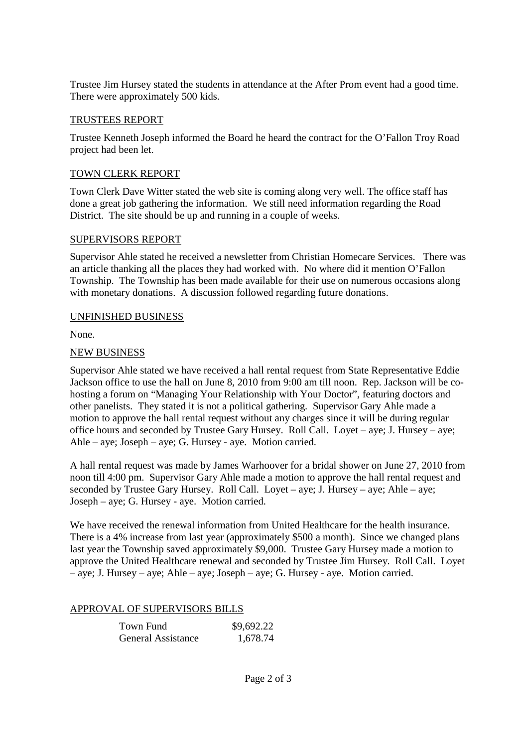Trustee Jim Hursey stated the students in attendance at the After Prom event had a good time. There were approximately 500 kids.

## TRUSTEES REPORT

Trustee Kenneth Joseph informed the Board he heard the contract for the O'Fallon Troy Road project had been let.

## TOWN CLERK REPORT

Town Clerk Dave Witter stated the web site is coming along very well. The office staff has done a great job gathering the information. We still need information regarding the Road District. The site should be up and running in a couple of weeks.

### SUPERVISORS REPORT

Supervisor Ahle stated he received a newsletter from Christian Homecare Services. There was an article thanking all the places they had worked with. No where did it mention O'Fallon Township. The Township has been made available for their use on numerous occasions along with monetary donations. A discussion followed regarding future donations.

### UNFINISHED BUSINESS

None.

# NEW BUSINESS

Supervisor Ahle stated we have received a hall rental request from State Representative Eddie Jackson office to use the hall on June 8, 2010 from 9:00 am till noon. Rep. Jackson will be cohosting a forum on "Managing Your Relationship with Your Doctor", featuring doctors and other panelists. They stated it is not a political gathering. Supervisor Gary Ahle made a motion to approve the hall rental request without any charges since it will be during regular office hours and seconded by Trustee Gary Hursey. Roll Call. Loyet – aye; J. Hursey – aye; Ahle – aye; Joseph – aye; G. Hursey - aye. Motion carried.

A hall rental request was made by James Warhoover for a bridal shower on June 27, 2010 from noon till 4:00 pm. Supervisor Gary Ahle made a motion to approve the hall rental request and seconded by Trustee Gary Hursey. Roll Call. Loyet – aye; J. Hursey – aye; Ahle – aye; Joseph – aye; G. Hursey - aye. Motion carried.

We have received the renewal information from United Healthcare for the health insurance. There is a 4% increase from last year (approximately \$500 a month). Since we changed plans last year the Township saved approximately \$9,000. Trustee Gary Hursey made a motion to approve the United Healthcare renewal and seconded by Trustee Jim Hursey. Roll Call. Loyet – aye; J. Hursey – aye; Ahle – aye; Joseph – aye; G. Hursey - aye. Motion carried.

# APPROVAL OF SUPERVISORS BILLS

| Town Fund                 | \$9,692.22 |
|---------------------------|------------|
| <b>General Assistance</b> | 1,678.74   |